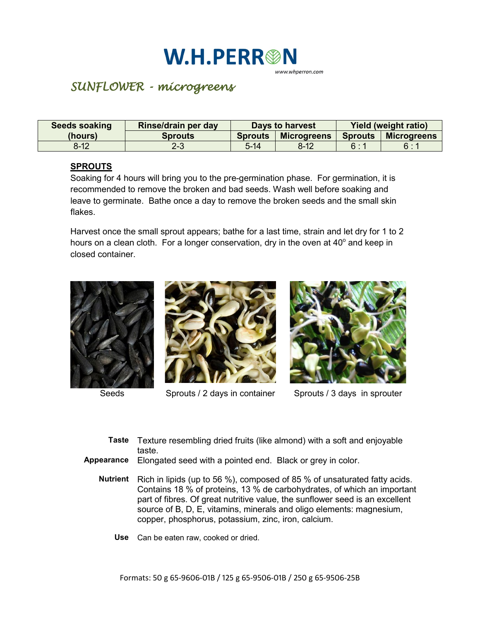## **W.H.PERR®N**

www.whperron.com

## *SUNFLOWER - microgreens*

| Seeds soaking | Rinse/drain per day | <b>Days to harvest</b> |                    | <b>Yield (weight ratio)</b> |                    |
|---------------|---------------------|------------------------|--------------------|-----------------------------|--------------------|
| (hours)       | <b>Sprouts</b>      | <b>Sprouts</b>         | <b>Microgreens</b> | <b>Sprouts</b>              | <b>Microgreens</b> |
| $8 - 12$      | 2-3                 | $5 - 14$               | $8 - 12$           | 6:1                         | 6:1                |

## **SPROUTS**

Soaking for 4 hours will bring you to the pre-germination phase. For germination, it is recommended to remove the broken and bad seeds. Wash well before soaking and leave to germinate. Bathe once a day to remove the broken seeds and the small skin flakes.

Harvest once the small sprout appears; bathe for a last time, strain and let dry for 1 to 2 hours on a clean cloth. For a longer conservation, dry in the oven at  $40^{\circ}$  and keep in closed container.





Seeds Sprouts / 2 days in container Sprouts / 3 days in sprouter



- **Taste** Texture resembling dried fruits (like almond) with a soft and enjoyable taste.
- **Appearance** Elongated seed with a pointed end. Black or grey in color.
	- **Nutrient** Rich in lipids (up to 56 %), composed of 85 % of unsaturated fatty acids. Contains 18 % of proteins, 13 % de carbohydrates, of which an important part of fibres. Of great nutritive value, the sunflower seed is an excellent source of B, D, E, vitamins, minerals and oligo elements: magnesium, copper, phosphorus, potassium, zinc, iron, calcium.
		- **Use** Can be eaten raw, cooked or dried.

Formats: 50 g 65-9606-01B / 125 g 65-9506-01B / 250 g 65-9506-25B